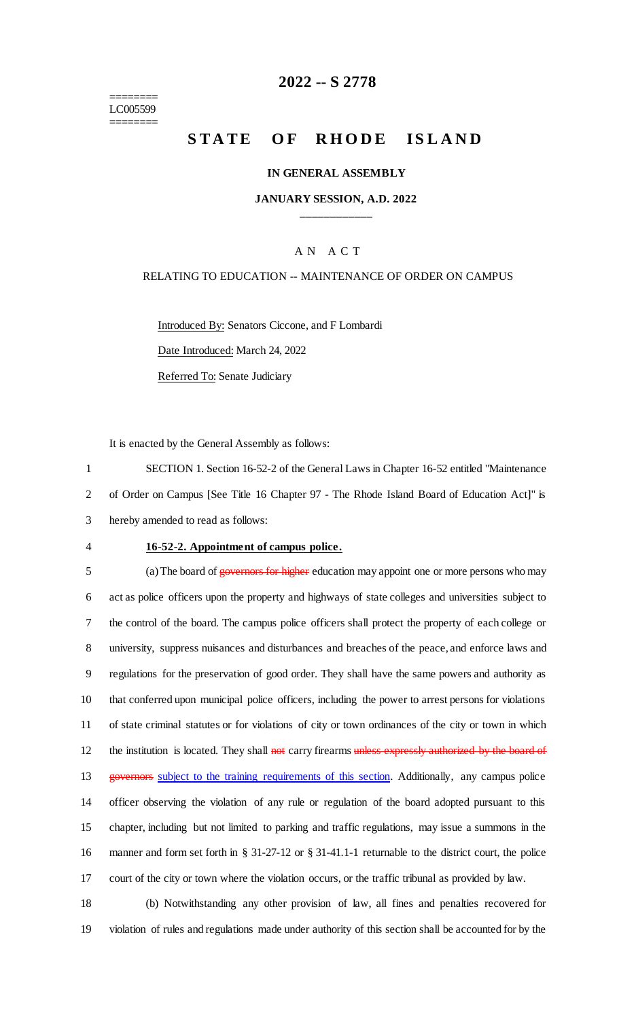======== LC005599 ========

# **2022 -- S 2778**

# **STATE OF RHODE ISLAND**

#### **IN GENERAL ASSEMBLY**

#### **JANUARY SESSION, A.D. 2022 \_\_\_\_\_\_\_\_\_\_\_\_**

### A N A C T

#### RELATING TO EDUCATION -- MAINTENANCE OF ORDER ON CAMPUS

Introduced By: Senators Ciccone, and F Lombardi

Date Introduced: March 24, 2022

Referred To: Senate Judiciary

It is enacted by the General Assembly as follows:

1 SECTION 1. Section 16-52-2 of the General Laws in Chapter 16-52 entitled "Maintenance 2 of Order on Campus [See Title 16 Chapter 97 - The Rhode Island Board of Education Act]" is 3 hereby amended to read as follows:

#### 4 **16-52-2. Appointment of campus police.**

5 (a) The board of governors for higher education may appoint one or more persons who may act as police officers upon the property and highways of state colleges and universities subject to the control of the board. The campus police officers shall protect the property of each college or university, suppress nuisances and disturbances and breaches of the peace, and enforce laws and regulations for the preservation of good order. They shall have the same powers and authority as that conferred upon municipal police officers, including the power to arrest persons for violations of state criminal statutes or for violations of city or town ordinances of the city or town in which 12 the institution is located. They shall not carry firearms unless expressly authorized by the board of 13 governors subject to the training requirements of this section. Additionally, any campus police officer observing the violation of any rule or regulation of the board adopted pursuant to this chapter, including but not limited to parking and traffic regulations, may issue a summons in the manner and form set forth in § 31-27-12 or § 31-41.1-1 returnable to the district court, the police court of the city or town where the violation occurs, or the traffic tribunal as provided by law.

18 (b) Notwithstanding any other provision of law, all fines and penalties recovered for 19 violation of rules and regulations made under authority of this section shall be accounted for by the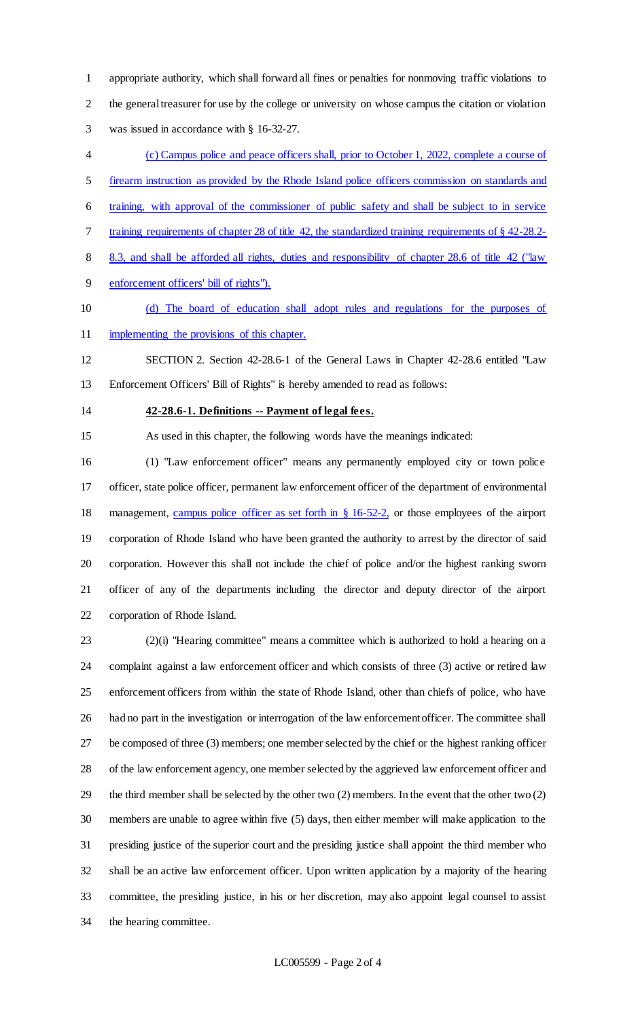appropriate authority, which shall forward all fines or penalties for nonmoving traffic violations to the general treasurer for use by the college or university on whose campus the citation or violation was issued in accordance with § 16-32-27.

- (c) Campus police and peace officers shall, prior to October 1, 2022, complete a course of
- firearm instruction as provided by the Rhode Island police officers commission on standards and
- training, with approval of the commissioner of public safety and shall be subject to in service
- 7 training requirements of chapter 28 of title 42, the standardized training requirements of § 42-28.2-
- 8 8.3, and shall be afforded all rights, duties and responsibility of chapter 28.6 of title 42 ("law
- enforcement officers' bill of rights").
- (d) The board of education shall adopt rules and regulations for the purposes of 11 implementing the provisions of this chapter.
- SECTION 2. Section 42-28.6-1 of the General Laws in Chapter 42-28.6 entitled "Law Enforcement Officers' Bill of Rights" is hereby amended to read as follows:
- 

#### **42-28.6-1. Definitions -- Payment of legal fees.**

As used in this chapter, the following words have the meanings indicated:

 (1) "Law enforcement officer" means any permanently employed city or town police officer, state police officer, permanent law enforcement officer of the department of environmental 18 management, campus police officer as set forth in § 16-52-2, or those employees of the airport corporation of Rhode Island who have been granted the authority to arrest by the director of said corporation. However this shall not include the chief of police and/or the highest ranking sworn officer of any of the departments including the director and deputy director of the airport corporation of Rhode Island.

 (2)(i) "Hearing committee" means a committee which is authorized to hold a hearing on a complaint against a law enforcement officer and which consists of three (3) active or retired law enforcement officers from within the state of Rhode Island, other than chiefs of police, who have had no part in the investigation or interrogation of the law enforcement officer. The committee shall be composed of three (3) members; one member selected by the chief or the highest ranking officer of the law enforcement agency, one member selected by the aggrieved law enforcement officer and the third member shall be selected by the other two (2) members. In the event that the other two (2) members are unable to agree within five (5) days, then either member will make application to the presiding justice of the superior court and the presiding justice shall appoint the third member who shall be an active law enforcement officer. Upon written application by a majority of the hearing committee, the presiding justice, in his or her discretion, may also appoint legal counsel to assist the hearing committee.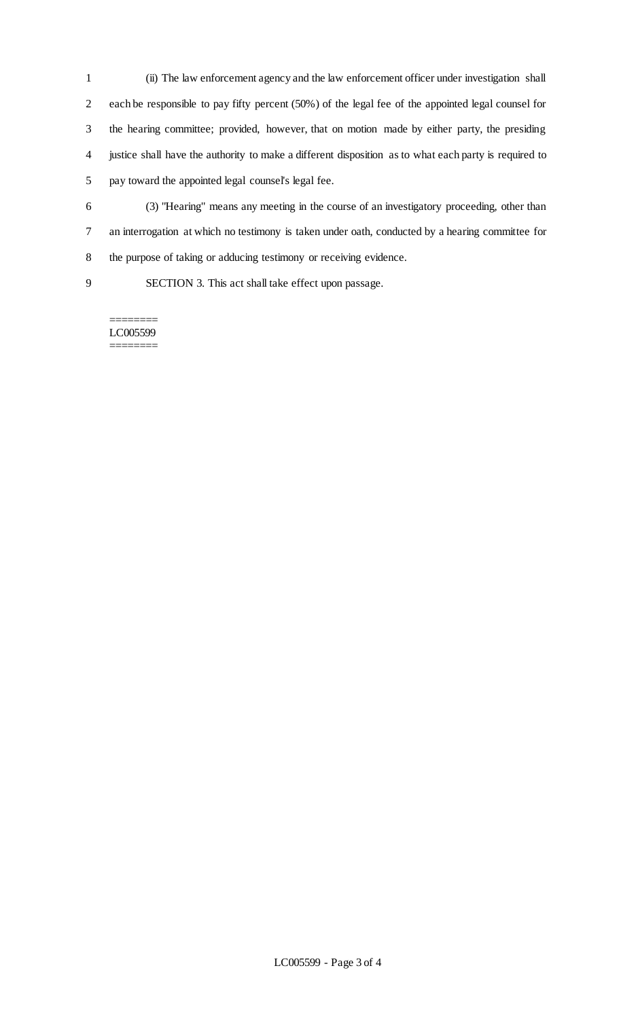- (ii) The law enforcement agency and the law enforcement officer under investigation shall each be responsible to pay fifty percent (50%) of the legal fee of the appointed legal counsel for the hearing committee; provided, however, that on motion made by either party, the presiding justice shall have the authority to make a different disposition as to what each party is required to pay toward the appointed legal counsel's legal fee.
- (3) "Hearing" means any meeting in the course of an investigatory proceeding, other than an interrogation at which no testimony is taken under oath, conducted by a hearing committee for the purpose of taking or adducing testimony or receiving evidence.
- 

SECTION 3. This act shall take effect upon passage.

======== LC005599 ========